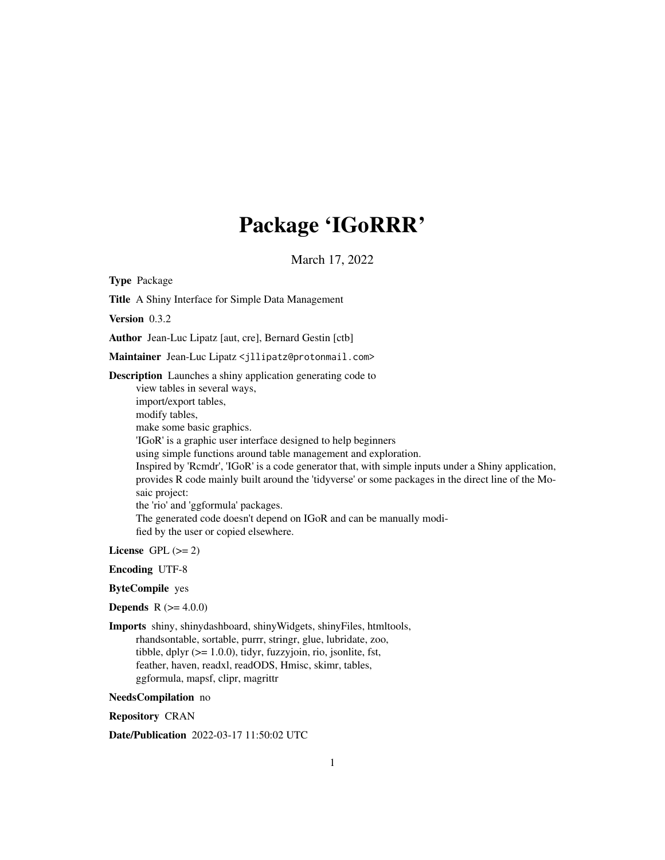## Package 'IGoRRR'

March 17, 2022

Type Package

Title A Shiny Interface for Simple Data Management

Version 0.3.2

Author Jean-Luc Lipatz [aut, cre], Bernard Gestin [ctb]

Maintainer Jean-Luc Lipatz <jllipatz@protonmail.com>

Description Launches a shiny application generating code to

view tables in several ways, import/export tables, modify tables, make some basic graphics. 'IGoR' is a graphic user interface designed to help beginners using simple functions around table management and exploration. Inspired by 'Rcmdr', 'IGoR' is a code generator that, with simple inputs under a Shiny application, provides R code mainly built around the 'tidyverse' or some packages in the direct line of the Mosaic project: the 'rio' and 'ggformula' packages. The generated code doesn't depend on IGoR and can be manually modified by the user or copied elsewhere.

License GPL  $(>= 2)$ 

Encoding UTF-8

ByteCompile yes

**Depends** R  $(>= 4.0.0)$ 

Imports shiny, shinydashboard, shinyWidgets, shinyFiles, htmltools, rhandsontable, sortable, purrr, stringr, glue, lubridate, zoo, tibble, dplyr  $(>= 1.0.0)$ , tidyr, fuzzyjoin, rio, jsonlite, fst, feather, haven, readxl, readODS, Hmisc, skimr, tables, ggformula, mapsf, clipr, magrittr

NeedsCompilation no

Repository CRAN

Date/Publication 2022-03-17 11:50:02 UTC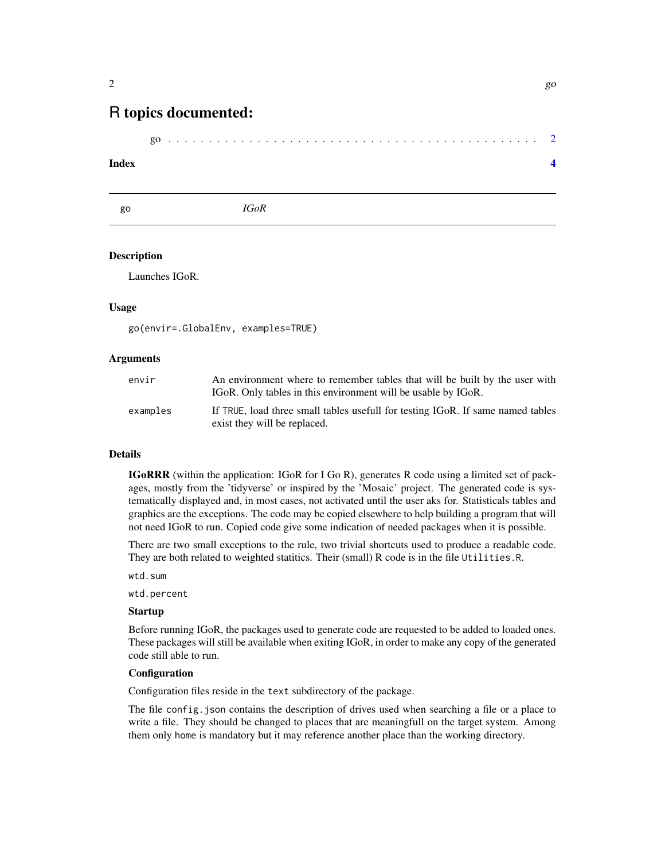### <span id="page-1-0"></span>R topics documented:

#### **Index** [4](#page-3-0)

go *IGoR*

#### **Description**

Launches IGoR.

#### Usage

go(envir=.GlobalEnv, examples=TRUE)

#### Arguments

| envir    | An environment where to remember tables that will be built by the user with<br>IGoR. Only tables in this environment will be usable by IGoR. |
|----------|----------------------------------------------------------------------------------------------------------------------------------------------|
| examples | If TRUE, load three small tables usefull for testing IGoR. If same named tables<br>exist they will be replaced.                              |

#### Details

IGoRRR (within the application: IGoR for I Go R), generates R code using a limited set of packages, mostly from the 'tidyverse' or inspired by the 'Mosaic' project. The generated code is systematically displayed and, in most cases, not activated until the user aks for. Statisticals tables and graphics are the exceptions. The code may be copied elsewhere to help building a program that will not need IGoR to run. Copied code give some indication of needed packages when it is possible.

There are two small exceptions to the rule, two trivial shortcuts used to produce a readable code. They are both related to weighted statitics. Their (small) R code is in the file Utilities.R.

wtd.sum

wtd.percent

#### Startup

Before running IGoR, the packages used to generate code are requested to be added to loaded ones. These packages will still be available when exiting IGoR, in order to make any copy of the generated code still able to run.

#### **Configuration**

Configuration files reside in the text subdirectory of the package.

The file config.json contains the description of drives used when searching a file or a place to write a file. They should be changed to places that are meaningfull on the target system. Among them only home is mandatory but it may reference another place than the working directory.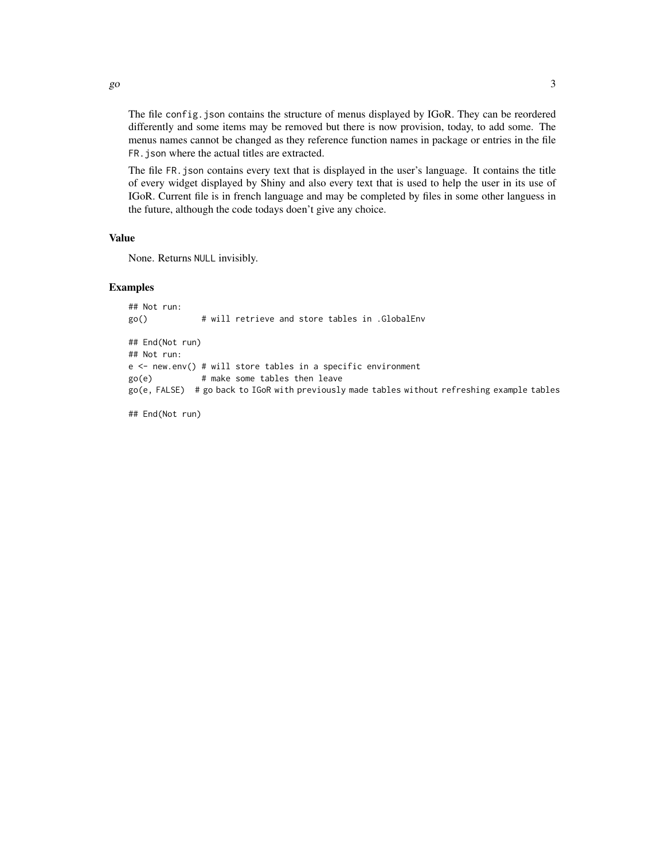The file config.json contains the structure of menus displayed by IGoR. They can be reordered differently and some items may be removed but there is now provision, today, to add some. The menus names cannot be changed as they reference function names in package or entries in the file FR.json where the actual titles are extracted.

The file FR.json contains every text that is displayed in the user's language. It contains the title of every widget displayed by Shiny and also every text that is used to help the user in its use of IGoR. Current file is in french language and may be completed by files in some other languess in the future, although the code todays doen't give any choice.

#### Value

None. Returns NULL invisibly.

#### Examples

```
## Not run:
go() # will retrieve and store tables in .GlobalEnv
## End(Not run)
## Not run:
e \le - new.env() # will store tables in a specific environment
go(e) # make some tables then leave
go(e, FALSE) # go back to IGoR with previously made tables without refreshing example tables
```
## End(Not run)

 $\Box$  3